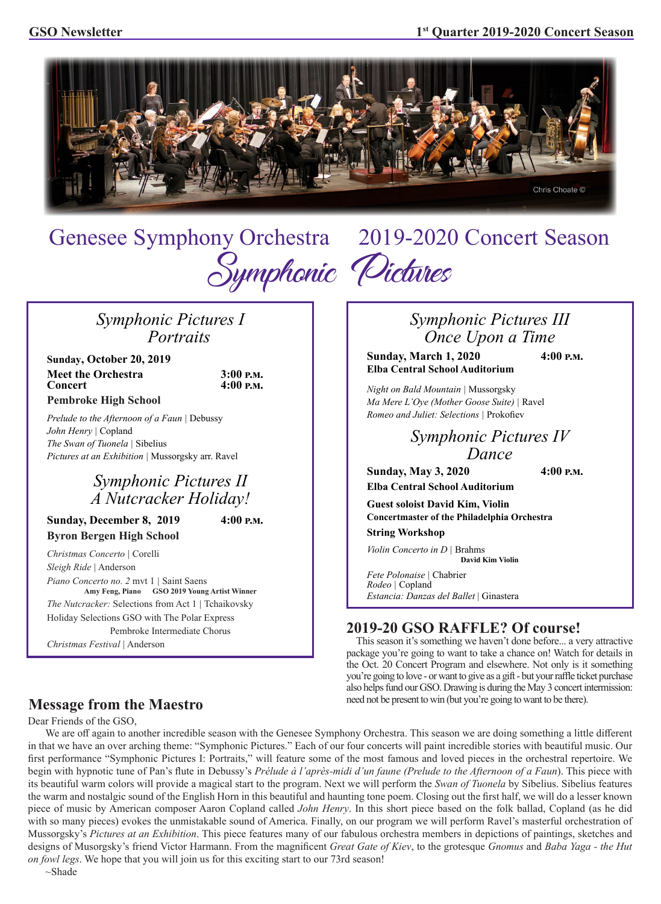

Genesee Symphony Orchestra2019-2020 Concert Season Symphonic Pictures

# *Symphonic Pictures I Portraits*

**Sunday, October 20, 2019 Meet the Orchestra** 3:00 **P.M.**<br>Concert 4:00 **P.M. Pembroke High School**

*Prelude to the Afternoon of a Faun |* Debussy *John Henry |* Copland *The Swan of Tuonela |* Sibelius *Pictures at an Exhibition |* Mussorgsky arr. Ravel

# *Symphonic Pictures II A Nutcracker Holiday!*

**Sunday, December 8, 2019 4:00 p.m. Byron Bergen High School**

*Christmas Concerto |* Corelli *Sleigh Ride |* Anderson *Piano Concerto no. 2* mvt 1 *|* Saint Saens **Amy Feng, Piano GSO 2019 Young Artist Winner** *The Nutcracker:* Selections from Act 1 *|* Tchaikovsky Holiday Selections GSO with The Polar Express Pembroke Intermediate Chorus *Christmas Festival |* Anderson

# *Symphonic Pictures III Once Upon a Time*

**Sunday, March 1, 2020 4:00 p.m. Elba Central School Auditorium**

*Night on Bald Mountain |* Mussorgsky *Ma Mere L'Oye (Mother Goose Suite) |* Ravel *Romeo and Juliet: Selections |* Prokofiev

> *Symphonic Pictures IV Dance*

**Sunday, May 3, 2020 4:00 p.m. Elba Central School Auditorium**

**Guest soloist David Kim, Violin Concertmaster of the Philadelphia Orchestra**

**String Workshop**

*Violin Concerto in D |* Brahms **David Kim Violin**

*Fete Polonaise |* Chabrier *Rodeo |* Copland *Estancia: Danzas del Ballet* | Ginastera

# **2019-20 GSO RAFFLE? Of course!**

 This season it's something we haven't done before... a very attractive package you're going to want to take a chance on! Watch for details in the Oct. 20 Concert Program and elsewhere. Not only is it something you're going to love - or want to give as a gift - but your raffle ticket purchase also helps fund our GSO. Drawing is during the May 3 concert intermission: need not be present to win (but you're going to want to be there).

## **Message from the Maestro**

Dear Friends of the GSO,

 We are off again to another incredible season with the Genesee Symphony Orchestra. This season we are doing something a little different in that we have an over arching theme: "Symphonic Pictures." Each of our four concerts will paint incredible stories with beautiful music. Our first performance "Symphonic Pictures I: Portraits," will feature some of the most famous and loved pieces in the orchestral repertoire. We begin with hypnotic tune of Pan's flute in Debussy's *Prélude à l'après-midi d'un faune (Prelude to the Afternoon of a Faun*). This piece with its beautiful warm colors will provide a magical start to the program. Next we will perform the *Swan of Tuonela* by Sibelius. Sibelius features the warm and nostalgic sound of the English Horn in this beautiful and haunting tone poem. Closing out the first half, we will do a lesser known piece of music by American composer Aaron Copland called *John Henry*. In this short piece based on the folk ballad, Copland (as he did with so many pieces) evokes the unmistakable sound of America. Finally, on our program we will perform Ravel's masterful orchestration of Mussorgsky's *Pictures at an Exhibition*. This piece features many of our fabulous orchestra members in depictions of paintings, sketches and designs of Musorgsky's friend Victor Harmann. From the magnificent *Great Gate of Kiev*, to the grotesque *Gnomus* and *Baba Yaga - the Hut on fowl legs*. We hope that you will join us for this exciting start to our 73rd season!

~Shade